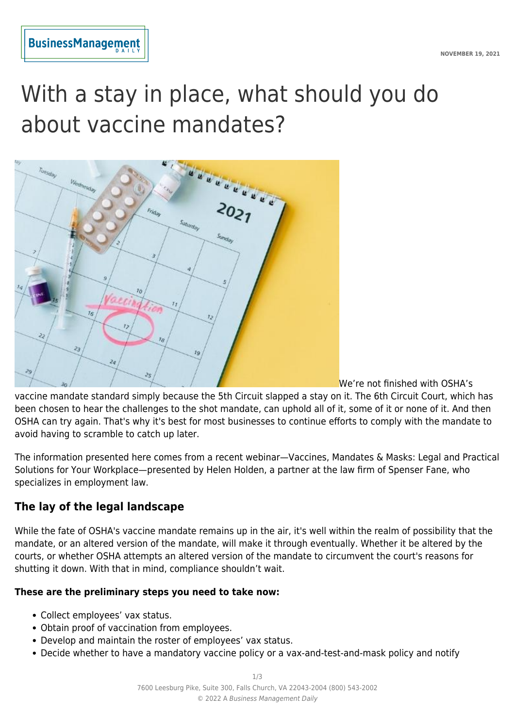

# With a stay in place, what should you do about vaccine mandates?



We're not finished with OSHA's

vaccine mandate standard simply because the 5th Circuit slapped a stay on it. The 6th Circuit Court, which has been chosen to hear the challenges to the shot mandate, can uphold all of it, some of it or none of it. And then OSHA can try again. That's why it's best for most businesses to continue efforts to comply with the mandate to avoid having to scramble to catch up later.

The information presented here comes from a recent webinar—Vaccines, Mandates & Masks: Legal and Practical Solutions for Your Workplace—presented by Helen Holden, a partner at the law firm of Spenser Fane, who specializes in employment law.

## **The lay of the legal landscape**

While the fate of OSHA's vaccine mandate remains up in the air, it's well within the realm of possibility that the mandate, or an altered version of the mandate, will make it through eventually. Whether it be altered by the courts, or whether OSHA attempts an altered version of the mandate to circumvent the court's reasons for shutting it down. With that in mind, compliance shouldn't wait.

#### **These are the preliminary steps you need to take now:**

- Collect employees' vax status.
- Obtain proof of vaccination from employees.
- Develop and maintain the roster of employees' vax status.
- Decide whether to have a mandatory vaccine policy or a vax-and-test-and-mask policy and notify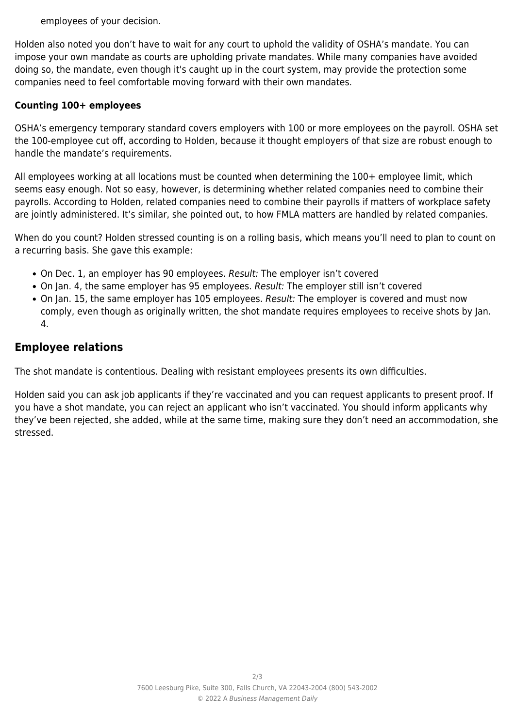employees of your decision.

Holden also noted you don't have to wait for any court to uphold the validity of OSHA's mandate. You can impose your own mandate as courts are upholding private mandates. While many companies have avoided doing so, the mandate, even though it's caught up in the court system, may provide the protection some companies need to feel comfortable moving forward with their own mandates.

#### **Counting 100+ employees**

OSHA's emergency temporary standard covers employers with 100 or more employees on the payroll. OSHA set the 100-employee cut off, according to Holden, because it thought employers of that size are robust enough to handle the mandate's requirements.

All employees working at all locations must be counted when determining the 100+ employee limit, which seems easy enough. Not so easy, however, is determining whether related companies need to combine their payrolls. According to Holden, related companies need to combine their payrolls if matters of workplace safety are jointly administered. It's similar, she pointed out, to how FMLA matters are handled by related companies.

When do you count? Holden stressed counting is on a rolling basis, which means you'll need to plan to count on a recurring basis. She gave this example:

- On Dec. 1, an employer has 90 employees. Result: The employer isn't covered
- On Jan. 4, the same employer has 95 employees. Result: The employer still isn't covered
- On Jan. 15, the same employer has 105 employees. Result: The employer is covered and must now comply, even though as originally written, the shot mandate requires employees to receive shots by Jan. 4.

## **Employee relations**

The shot mandate is contentious. Dealing with resistant employees presents its own difficulties.

Holden said you can ask job applicants if they're vaccinated and you can request applicants to present proof. If you have a shot mandate, you can reject an applicant who isn't vaccinated. You should inform applicants why they've been rejected, she added, while at the same time, making sure they don't need an accommodation, she stressed.